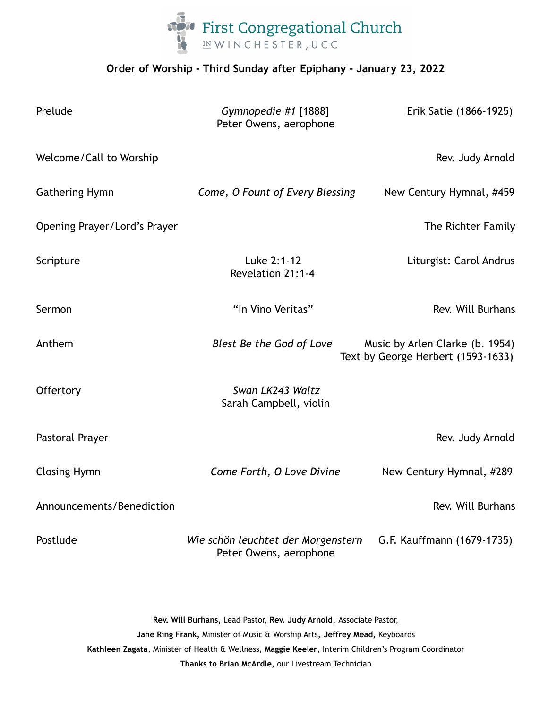

## **Order of Worship - Third Sunday after Epiphany - January 23, 2022**

| Prelude                      | Gymnopedie #1 [1888]<br>Peter Owens, aerophone               | Erik Satie (1866-1925)                                                |
|------------------------------|--------------------------------------------------------------|-----------------------------------------------------------------------|
| Welcome/Call to Worship      |                                                              | Rev. Judy Arnold                                                      |
| <b>Gathering Hymn</b>        | Come, O Fount of Every Blessing                              | New Century Hymnal, #459                                              |
| Opening Prayer/Lord's Prayer |                                                              | The Richter Family                                                    |
| Scripture                    | Luke 2:1-12<br>Revelation 21:1-4                             | Liturgist: Carol Andrus                                               |
| Sermon                       | "In Vino Veritas"                                            | Rev. Will Burhans                                                     |
| Anthem                       | Blest Be the God of Love                                     | Music by Arlen Clarke (b. 1954)<br>Text by George Herbert (1593-1633) |
| Offertory                    | Swan LK243 Waltz<br>Sarah Campbell, violin                   |                                                                       |
| Pastoral Prayer              |                                                              | Rev. Judy Arnold                                                      |
| <b>Closing Hymn</b>          | Come Forth, O Love Divine                                    | New Century Hymnal, #289                                              |
| Announcements/Benediction    |                                                              | Rev. Will Burhans                                                     |
| Postlude                     | Wie schön leuchtet der Morgenstern<br>Peter Owens, aerophone | G.F. Kauffmann (1679-1735)                                            |

**Rev. Will Burhans,** Lead Pastor, **Rev. Judy Arnold,** Associate Pastor, **Jane Ring Frank,** Minister of Music & Worship Arts, **Jeffrey Mead,** Keyboards **Kathleen Zagata**, Minister of Health & Wellness, **Maggie Keeler**, Interim Children's Program Coordinator **Thanks to Brian McArdle,** our Livestream Technician